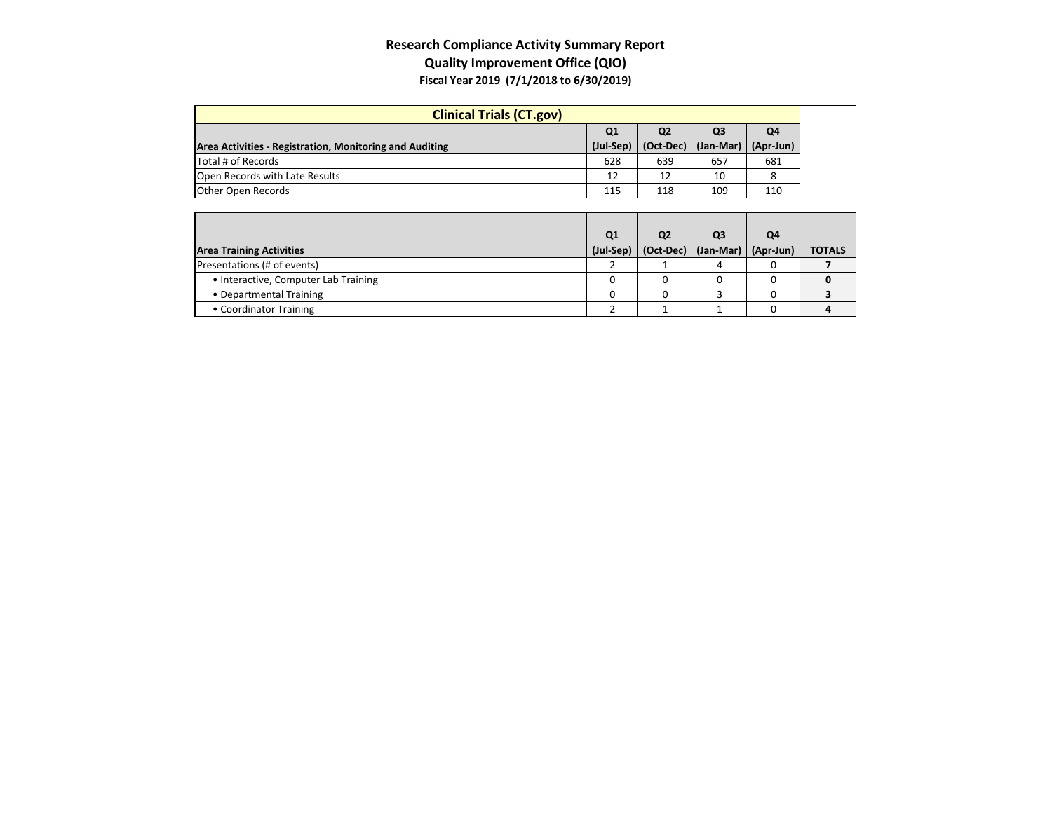## **Research Compliance Activity Summary Report Quality Improvement Office (QIO) Fiscal Year 2019 (7/1/2018 to 6/30/2019)**

| <b>Clinical Trials (CT.gov)</b>                         |                |                |                |           |  |
|---------------------------------------------------------|----------------|----------------|----------------|-----------|--|
|                                                         | Q <sub>1</sub> | Q <sub>2</sub> | Q <sub>3</sub> | Q4        |  |
| Area Activities - Registration, Monitoring and Auditing | (Jul-Sep)      | (Oct-Dec)      | $(Jan-Mar)$    | (Apr-Jun) |  |
| Total # of Records                                      | 628            | 639            | 657            | 681       |  |
| Open Records with Late Results                          | 12             | 12             | 10             |           |  |
| <b>Other Open Records</b>                               | 115            | 118            | 109            | 110       |  |

|                                      | Q1        | Q <sub>2</sub> | Q3                    | Q4 |               |
|--------------------------------------|-----------|----------------|-----------------------|----|---------------|
| <b>Area Training Activities</b>      | (Jul-Sep) | $(Oct-Dec)$    | (Jan-Mar)   (Apr-Jun) |    | <b>TOTALS</b> |
| Presentations (# of events)          |           |                |                       |    |               |
| • Interactive, Computer Lab Training |           |                |                       |    |               |
| • Departmental Training              |           |                |                       |    |               |
| • Coordinator Training               |           |                |                       |    |               |